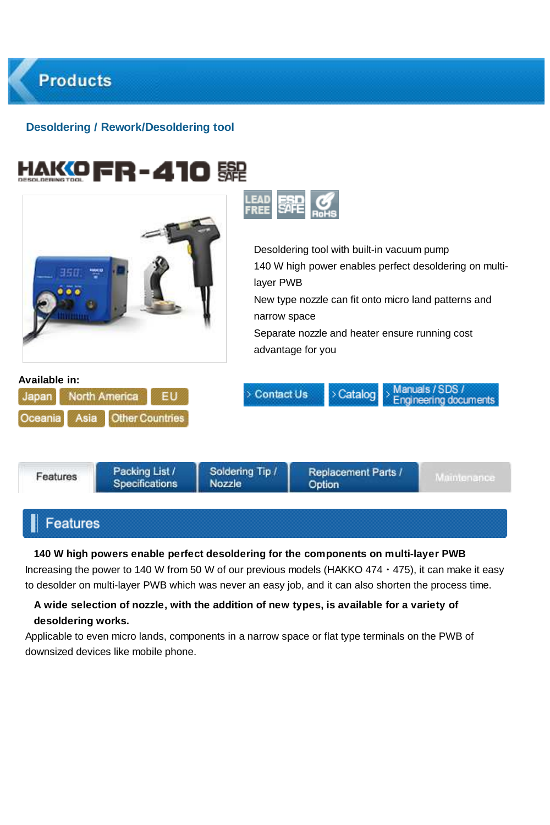

New type nozzle can fit onto micro land patterns and narrow space

Manuals / SDS /

**Engineering documents** 

Separate nozzle and heater ensure running cost advantage for you

> Catalog

#### **Available in:**





**Contact Us** 

# **Features**

**140 W high powers enable perfect desoldering for the components on multi-layer PWB** Increasing the power to 140 W from 50 W of our previous models (HAKKO 474 · 475), it can make it easy to desolder on multi-layer PWB which was never an easy job, and it can also shorten the process time.

### **A wide selection of nozzle, with the addition of new types, is available for a variety of desoldering works.**

Applicable to even micro lands, components in a narrow space or flat type terminals on the PWB of downsized devices like mobile phone.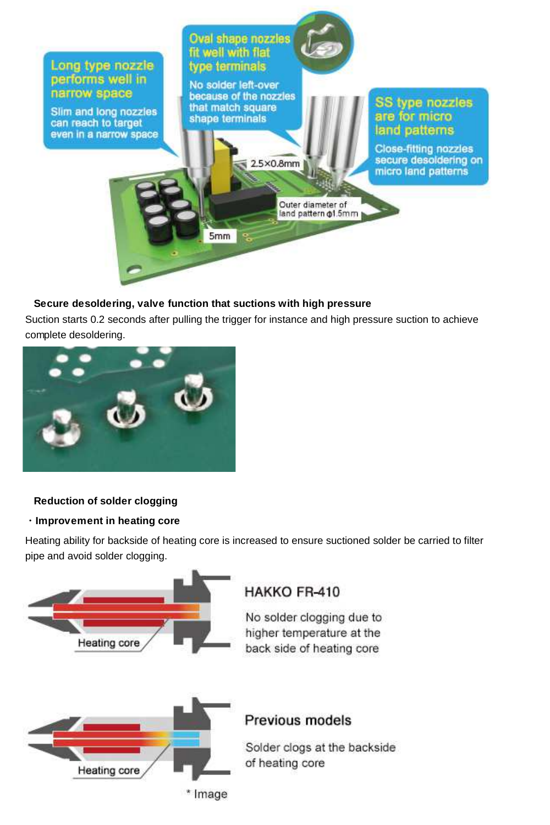

## **Secure desoldering, valve function that suctions with high pressure**

Suction starts 0.2 seconds after pulling the trigger for instance and high pressure suction to achieve complete desoldering.



#### **Reduction of solder clogging**

#### ・**Improvement in heating core**

Heating ability for backside of heating core is increased to ensure suctioned solder be carried to filter pipe and avoid solder clogging.

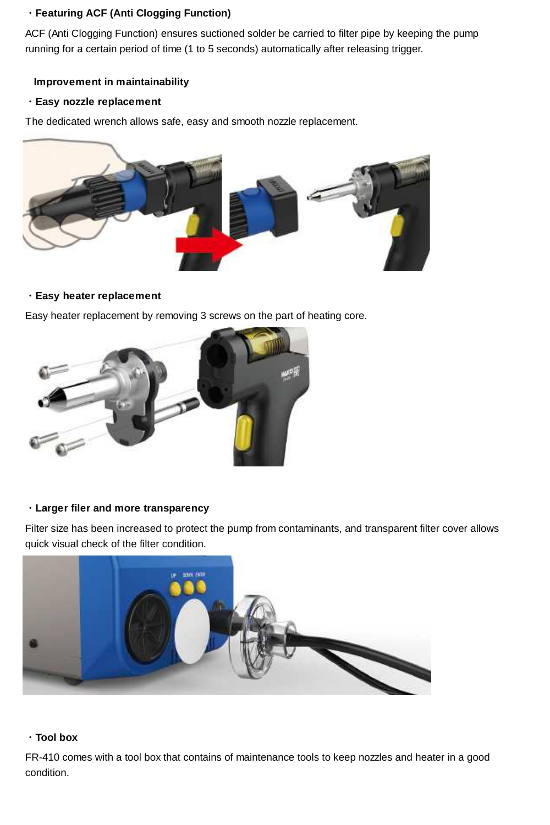## ・**Featuring ACF (Anti Clogging Function)**

ACF (Anti Clogging Function) ensures suctioned solder be carried to filter pipe by keeping the pump running for a certain period of time (1 to 5 seconds) automatically after releasing trigger.

### **Improvement in maintainability**

#### ・**Easy nozzle replacement**

The dedicated wrench allows safe, easy and smooth nozzle replacement.



#### ・**Easy heater replacement**

Easy heater replacement by removing 3 screws on the part of heating core.



## ・**Larger filer and more transparency**

Filter size has been increased to protect the pump from contaminants, and transparent filter cover allows quick visual check of the filter condition.



## ・**Tool box**

FR-410 comes with a tool box that contains of maintenance tools to keep nozzles and heater in a good condition.